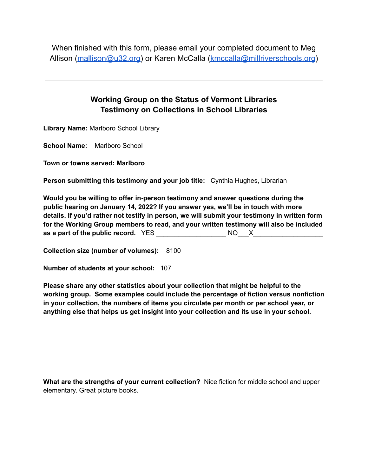When finished with this form, please email your completed document to Meg Allison ([mallison@u32.org\)](mailto:mallison@u32.org) or Karen McCalla [\(kmccalla@millriverschools.org](mailto:kmccalla@millriverschools.org))

## **Working Group on the Status of Vermont Libraries Testimony on Collections in School Libraries**

**Library Name:** Marlboro School Library

**School Name:** Marlboro School

**Town or towns served: Marlboro**

**Person submitting this testimony and your job title:** Cynthia Hughes, Librarian

**Would you be willing to offer in-person testimony and answer questions during the public hearing on January 14, 2022? If you answer yes, we'll be in touch with more details. If you'd rather not testify in person, we will submit your testimony in written form for the Working Group members to read, and your written testimony will also be included as a part of the public record.** YES \_\_\_\_\_\_\_\_\_\_\_\_\_\_\_\_\_\_\_ NO\_\_\_X\_\_\_\_\_\_\_\_\_\_\_\_\_\_\_\_\_\_\_

**Collection size (number of volumes):** 8100

**Number of students at your school:** 107

**Please share any other statistics about your collection that might be helpful to the working group. Some examples could include the percentage of fiction versus nonfiction in your collection, the numbers of items you circulate per month or per school year, or anything else that helps us get insight into your collection and its use in your school.**

**What are the strengths of your current collection?** Nice fiction for middle school and upper elementary. Great picture books.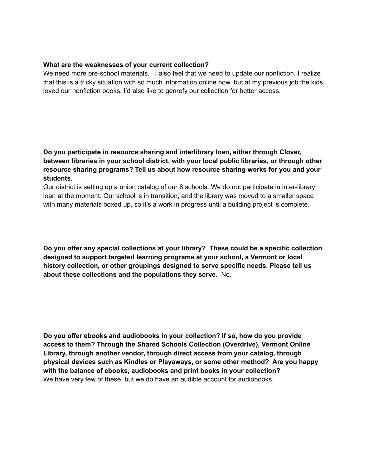## **What are the weaknesses of your current collection?**

We need more pre-school materials. I also feel that we need to update our nonfiction. I realize that this is a tricky situation with so much information online now, but at my previous job the kids loved our nonfiction books. I'd also like to genrefy our collection for better access.

**Do you participate in resource sharing and interlibrary loan, either through Clover, between libraries in your school district, with your local public libraries, or through other resource sharing programs? Tell us about how resource sharing works for you and your students.**

Our district is setting up a union catalog of our 8 schools. We do not participate in inter-library loan at the moment. Our school is in transition, and the library was moved to a smaller space with many materials boxed up, so it's a work in progress until a building project is complete.

**Do you offer any special collections at your library? These could be a specific collection designed to support targeted learning programs at your school, a Vermont or local history collection, or other groupings designed to serve specific needs. Please tell us about these collections and the populations they serve.** No.

**Do you offer ebooks and audiobooks in your collection? If so, how do you provide access to them? Through the Shared Schools Collection (Overdrive), Vermont Online Library, through another vendor, through direct access from your catalog, through physical devices such as Kindles or Playaways, or some other method? Are you happy with the balance of ebooks, audiobooks and print books in your collection?** We have very few of these, but we do have an audible account for audiobooks.